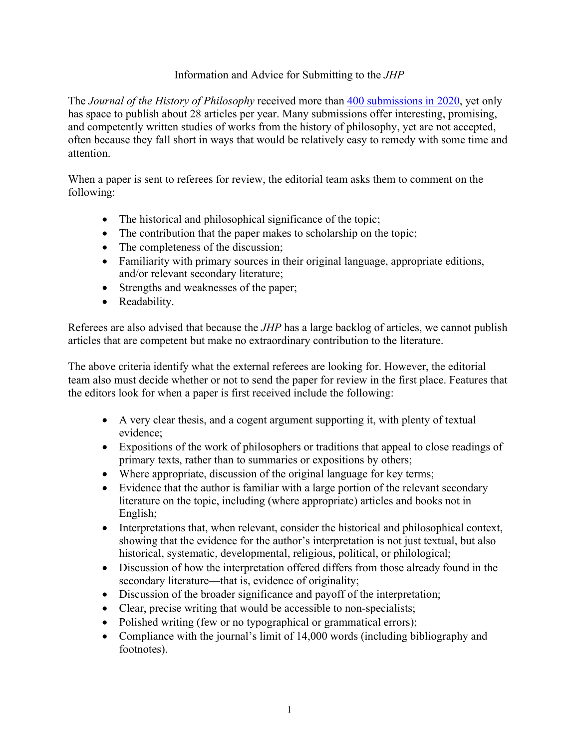## Information and Advice for Submitting to the *JHP*

The *Journal of the History of Philosophy* received more than 400 submissions in 2020, yet only has space to publish about 28 articles per year. Many submissions offer interesting, promising, and competently written studies of works from the history of philosophy, yet are not accepted, often because they fall short in ways that would be relatively easy to remedy with some time and attention.

When a paper is sent to referees for review, the editorial team asks them to comment on the following:

- The historical and philosophical significance of the topic;
- The contribution that the paper makes to scholarship on the topic;
- The completeness of the discussion;
- Familiarity with primary sources in their original language, appropriate editions, and/or relevant secondary literature;
- Strengths and weaknesses of the paper;
- Readability.

Referees are also advised that because the *JHP* has a large backlog of articles, we cannot publish articles that are competent but make no extraordinary contribution to the literature.

The above criteria identify what the external referees are looking for. However, the editorial team also must decide whether or not to send the paper for review in the first place. Features that the editors look for when a paper is first received include the following:

- A very clear thesis, and a cogent argument supporting it, with plenty of textual evidence;
- Expositions of the work of philosophers or traditions that appeal to close readings of primary texts, rather than to summaries or expositions by others;
- Where appropriate, discussion of the original language for key terms;
- Evidence that the author is familiar with a large portion of the relevant secondary literature on the topic, including (where appropriate) articles and books not in English;
- Interpretations that, when relevant, consider the historical and philosophical context, showing that the evidence for the author's interpretation is not just textual, but also historical, systematic, developmental, religious, political, or philological;
- Discussion of how the interpretation offered differs from those already found in the secondary literature—that is, evidence of originality;
- Discussion of the broader significance and payoff of the interpretation;
- Clear, precise writing that would be accessible to non-specialists;
- Polished writing (few or no typographical or grammatical errors);
- Compliance with the journal's limit of 14,000 words (including bibliography and footnotes).